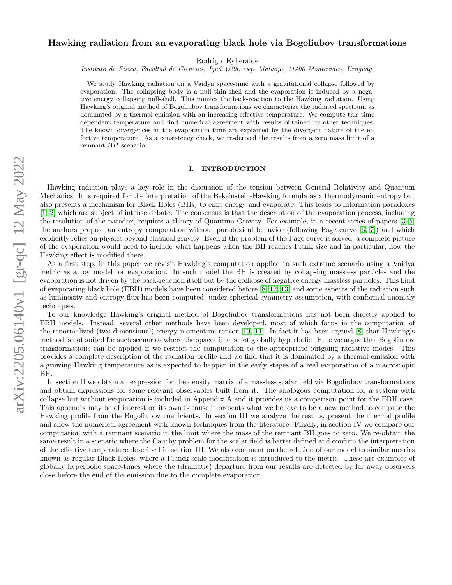# Hawking radiation from an evaporating black hole via Bogoliubov transformations

Rodrigo Eyheralde

Instituto de Física, Facultad de Ciencias, Iguá 4225, esq. Mataojo, 11400 Montevideo, Uruguay.

We study Hawking radiation on a Vaidya space-time with a gravitational collapse followed by evaporation. The collapsing body is a null thin-shell and the evaporation is induced by a negative energy collapsing null-shell. This mimics the back-reaction to the Hawking radiation. Using Hawking's original method of Bogoliubov transformations we characterize the radiated spectrum as dominated by a thermal emission with an increasing effective temperature. We compute this time dependent temperature and find numerical agreement with results obtained by other techniques. The known divergences at the evaporation time are explained by the divergent nature of the effective temperature. As a consistency check, we re-derived the results from a zero mass limit of a remnant BH scenario.

### I. INTRODUCTION

Hawking radiation plays a key role in the discussion of the tension between General Relativity and Quantum Mechanics. It is required for the interpretation of the Bekeinstein-Hawking formula as a thermodynamic entropy but also presents a mechanism for Black Holes (BHs) to emit energy and evaporate. This leads to information paradoxes [\[1,](#page-18-0) [2\]](#page-18-1) which are subject of intense debate. The consensus is that the description of the evaporation process, including the resolution of the paradox, requires a theory of Quantum Gravity. For example, in a recent series of papers [\[3–](#page-18-2)[5\]](#page-18-3) the authors propose an entropy computation without paradoxical behavior (following Page curve [\[6,](#page-18-4) [7\]](#page-18-5)) and which explicitly relies on physics beyond classical gravity. Even if the problem of the Page curve is solved, a complete picture of the evaporation would need to include what happens when the BH reaches Plank size and in particular, how the Hawking effect is modified there.

As a first step, in this paper we revisit Hawking's computation applied to such extreme scenario using a Vaidya metric as a toy model for evaporation. In such model the BH is created by collapsing massless particles and the evaporation is not driven by the back-reaction itself but by the collapse of negative energy massless particles. This kind of evaporating black hole (EBH) models have been considered before [\[8,](#page-18-6) [12,](#page-19-0) [13\]](#page-19-1) and some aspects of the radiation such as luminosity and entropy flux has been computed, under spherical symmetry assumption, with conformal anomaly techniques.

To our knowledge Hawking's original method of Bogoliubov transformations has not been directly applied to EBH models. Instead, several other methods have been developed, most of which focus in the computation of the renormalized (two dimensional) energy momentum tensor [\[10,](#page-18-7) [11\]](#page-19-2). In fact it has been argued [\[8\]](#page-18-6) that Hawking's method is not suited for such scenarios where the space-time is not globally hyperbolic. Here we argue that Bogoliubov transformations can be applied if we restrict the computation to the appropriate outgoing radiative modes. This provides a complete description of the radiation profile and we find that it is dominated by a thermal emission with a growing Hawking temperature as is expected to happen in the early stages of a real evaporation of a macroscopic BH.

In section II we obtain an expression for the density matrix of a massless scalar field via Bogoliubov transformations and obtain expressions for some relevant observables built from it. The analogous computation for a system with collapse but without evaporation is included in Appendix A and it provides us a comparison point for the EBH case. This appendix may be of interest on its own because it presents what we believe to be a new method to compute the Hawking profile from the Bogoliubov coefficients. In section III we analyze the results, present the thermal profile and show the numerical agreement with known techniques from the literature. Finally, in section IV we compare our computation with a remnant scenario in the limit where the mass of the remnant BH goes to zero. We re-obtain the same result in a scenario where the Cauchy problem for the scalar field is better defined and confirm the interpretation of the effective temperature described in section III. We also comment on the relation of our model to similar metrics known as regular Black Holes, where a Planck scale modification is introduced to the metric. These are examples of globally hyperbolic space-times where the (dramatic) departure from our results are detected by far away observers close before the end of the emission due to the complete evaporation.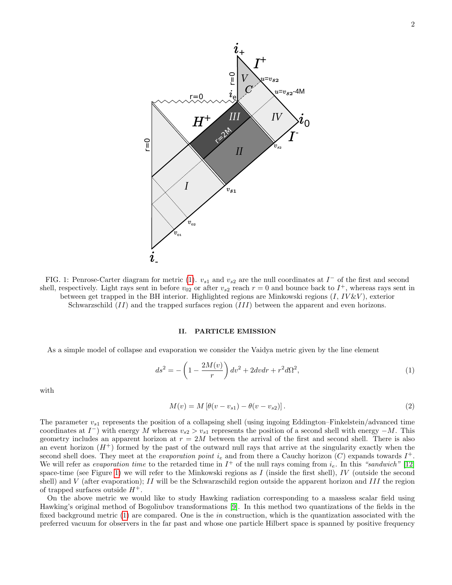<span id="page-1-1"></span>

FIG. 1: Penrose-Carter diagram for metric [\(1\)](#page-1-0).  $v_{s1}$  and  $v_{s2}$  are the null coordinates at  $I^-$  of the first and second shell, respectively. Light rays sent in before  $v_{02}$  or after  $v_{s2}$  reach  $r = 0$  and bounce back to  $I^+$ , whereas rays sent in between get trapped in the BH interior. Highlighted regions are Minkowski regions  $(I, IV&V)$ , exterior Schwarzschild (II) and the trapped surfaces region (III) between the apparent and even horizons.

# <span id="page-1-2"></span>II. PARTICLE EMISSION

As a simple model of collapse and evaporation we consider the Vaidya metric given by the line element

<span id="page-1-0"></span>
$$
ds^{2} = -\left(1 - \frac{2M(v)}{r}\right)dv^{2} + 2dvdr + r^{2}d\Omega^{2},
$$
\n(1)

with

$$
M(v) = M\left[\theta(v - v_{s1}) - \theta(v - v_{s2})\right].\tag{2}
$$

The parameter  $v_{s1}$  represents the position of a collapsing shell (using ingoing Eddington–Finkelstein/advanced time coordinates at  $I^-$ ) with energy M whereas  $v_{s2} > v_{s1}$  represents the position of a second shell with energy  $-M$ . This geometry includes an apparent horizon at  $r = 2M$  between the arrival of the first and second shell. There is also an event horizon  $(H^+)$  formed by the past of the outward null rays that arrive at the singularity exactly when the second shell does. They meet at the *evaporation point*  $i_e$  and from there a Cauchy horizon (C) expands towards  $I^+$ . We will refer as *evaporation time* to the retarded time in  $I^+$  of the null rays coming from  $i_e$ . In this "sandwich" [\[12\]](#page-19-0) space-time (see Figure [1\)](#page-1-1) we will refer to the Minkowski regions as I (inside the first shell), IV (outside the second shell) and V (after evaporation); II will be the Schwarzschild region outside the apparent horizon and III the region of trapped surfaces outside  $H^+$ .

On the above metric we would like to study Hawking radiation corresponding to a massless scalar field using Hawking's original method of Bogoliubov transformations [\[9\]](#page-18-8). In this method two quantizations of the fields in the fixed background metric [\(1\)](#page-1-0) are compared. One is the *in* construction, which is the quantization associated with the preferred vacuum for observers in the far past and whose one particle Hilbert space is spanned by positive frequency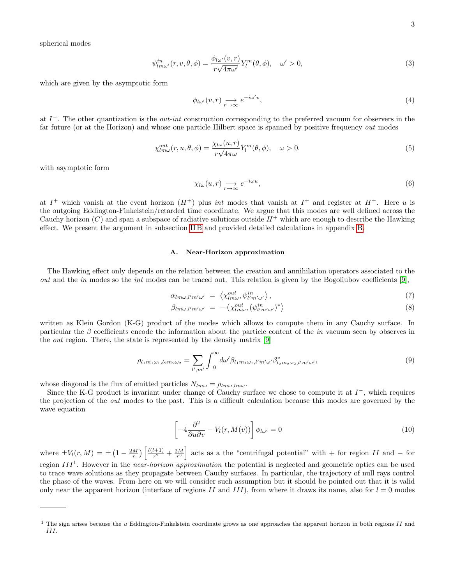spherical modes

<span id="page-2-1"></span>
$$
\psi_{lm\omega'}^{in}(r,v,\theta,\phi) = \frac{\phi_{l\omega'}(v,r)}{r\sqrt{4\pi\omega'}} Y_l^m(\theta,\phi), \quad \omega' > 0,
$$
\n(3)

which are given by the asymptotic form

$$
\phi_{l\omega'}(v,r) \underset{r \to \infty}{\longrightarrow} e^{-i\omega'v},\tag{4}
$$

at  $I^-$ . The other quantization is the *out-int* construction corresponding to the preferred vacuum for observers in the far future (or at the Horizon) and whose one particle Hilbert space is spanned by positive frequency out modes

<span id="page-2-0"></span>
$$
\chi_{lm\omega}^{out}(r, u, \theta, \phi) = \frac{\chi_{l\omega}(u, r)}{r\sqrt{4\pi\omega}} Y_l^m(\theta, \phi), \quad \omega > 0.
$$
\n(5)

with asymptotic form

$$
\chi_{l\omega}(u,r) \underset{r \to \infty}{\longrightarrow} e^{-i\omega u},\tag{6}
$$

at  $I^+$  which vanish at the event horizon  $(H^+)$  plus *int* modes that vanish at  $I^+$  and register at  $H^+$ . Here u is the outgoing Eddington-Finkelstein/retarded time coordinate. We argue that this modes are well defined across the Cauchy horizon  $(C)$  and span a subspace of radiative solutions outside  $H^+$  which are enough to describe the Hawking effect. We present the argument in subsection [II B](#page-3-0) and provided detailed calculations in appendix [B.](#page-16-0)

# A. Near-Horizon approximation

The Hawking effect only depends on the relation between the creation and annihilation operators associated to the out and the in modes so the int modes can be traced out. This relation is given by the Bogoliubov coefficients [\[9\]](#page-18-8),

$$
\alpha_{lm\omega,l'm'\omega'} = \left\langle \chi_{lm\omega}^{out}, \psi_{l'm'\omega'}^{in} \right\rangle,\tag{7}
$$

$$
\beta_{lm\omega,l'm'\omega'} = -\left\langle \chi_{lm\omega}^{out}, (\psi_{l'm'\omega'}^{in})^* \right\rangle \tag{8}
$$

written as Klein Gordon (K-G) product of the modes which allows to compute them in any Cauchy surface. In particular the  $\beta$  coefficients encode the information about the particle content of the *in* vacuum seen by observes in the out region. There, the state is represented by the density matrix [\[9\]](#page-18-8)

$$
\rho_{l_1m_1\omega_1,l_2m_2\omega_2} = \sum_{l',m'} \int_0^\infty d\omega' \beta_{l_1m_1\omega_1,l'm'\omega'} \beta_{l_2m_2\omega_2,l'm'\omega'}^* ,\tag{9}
$$

whose diagonal is the flux of emitted particles  $N_{lm\omega} = \rho_{lm\omega,lm\omega}$ .

Since the K-G product is invariant under change of Cauchy surface we chose to compute it at  $I^-$ , which requires the projection of the out modes to the past. This is a difficult calculation because this modes are governed by the wave equation

<span id="page-2-2"></span>
$$
\left[-4\frac{\partial^2}{\partial u \partial v} - V_l(r, M(v))\right]\phi_{l\omega'} = 0\tag{10}
$$

where  $\pm V_l(r, M) = \pm (1 - \frac{2M}{r}) \left[ \frac{l(l+1)}{r^2} \right]$  $\frac{d(n+1)}{n^2} + \frac{2M}{n^3}$  acts as a the "centrifugal potential" with + for region II and - for region  $III<sup>1</sup>$ . However in the *near-horizon approximation* the potential is neglected and geometric optics can be used to trace wave solutions as they propagate between Cauchy surfaces. In particular, the trajectory of null rays control the phase of the waves. From here on we will consider such assumption but it should be pointed out that it is valid only near the apparent horizon (interface of regions II and III), from where it draws its name, also for  $l = 0$  modes

<sup>&</sup>lt;sup>1</sup> The sign arises because the u Eddington-Finkelstein coordinate grows as one approaches the apparent horizon in both regions II and III.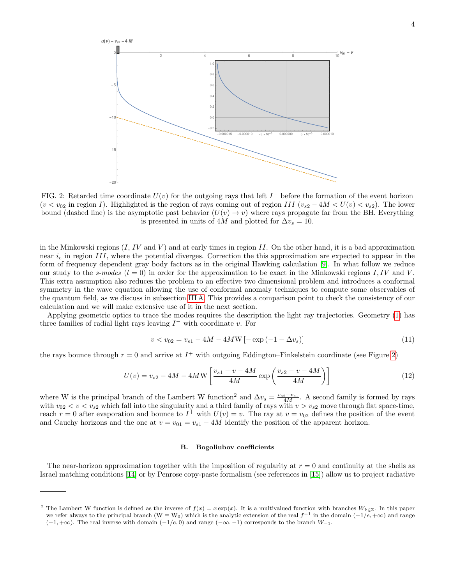<span id="page-3-1"></span>

FIG. 2: Retarded time coordinate  $U(v)$  for the outgoing rays that left  $I^-$  before the formation of the event horizon  $(v < v_{02})$  in region I). Highlighted is the region of rays coming out of region III  $(v_{s2} - 4M < U(v) < v_{s2})$ . The lower bound (dashed line) is the asymptotic past behavior  $(U(v) \to v)$  where rays propagate far from the BH. Everything is presented in units of 4M and plotted for  $\Delta v_s = 10$ .

in the Minkowski regions  $(I, IV \text{ and } V)$  and at early times in region II. On the other hand, it is a bad approximation near  $i_e$  in region III, where the potential diverges. Correction the this approximation are expected to appear in the form of frequency dependent gray body factors as in the original Hawking calculation [\[9\]](#page-18-8). In what follow we reduce our study to the s-modes  $(l = 0)$  in order for the approximation to be exact in the Minkowski regions I, IV and V. This extra assumption also reduces the problem to an effective two dimensional problem and introduces a conformal symmetry in the wave equation allowing the use of conformal anomaly techniques to compute some observables of the quantum field, as we discuss in subsection [III A.](#page-7-0) This provides a comparison point to check the consistency of our calculation and we will make extensive use of it in the next section.

Applying geometric optics to trace the modes requires the description the light ray trajectories. Geometry [\(1\)](#page-1-0) has three families of radial light rays leaving  $I^-$  with coordinate v. For

$$
v < v_{02} = v_{s1} - 4M - 4MW\left[-\exp\left(-1 - \Delta v_s\right)\right]
$$
\n(11)

the rays bounce through  $r = 0$  and arrive at  $I^+$  with outgoing Eddington–Finkelstein coordinate (see Figure [2\)](#page-3-1)

<span id="page-3-2"></span>
$$
U(v) = v_{s2} - 4M - 4MW \left[ \frac{v_{s1} - v - 4M}{4M} \exp\left(\frac{v_{s2} - v - 4M}{4M}\right) \right]
$$
 (12)

where W is the principal branch of the Lambert W function<sup>2</sup> and  $\Delta v_s = \frac{v_{s2}-v_{s1}}{4M}$ . A second family is formed by rays with  $v_{02} < v < v_{s2}$  which fall into the singularity and a third family of rays with  $v > v_{s2}$  move through flat space-time, reach  $r = 0$  after evaporation and bounce to  $I^+$  with  $U(v) = v$ . The ray at  $v = v_{02}$  defines the position of the event and Cauchy horizons and the one at  $v = v_{01} = v_{s1} - 4M$  identify the position of the apparent horizon.

# <span id="page-3-0"></span>B. Bogoliubov coefficients

The near-horizon approximation together with the imposition of regularity at  $r = 0$  and continuity at the shells as Israel matching conditions [\[14\]](#page-19-3) or by Penrose copy-paste formalism (see references in [\[15\]](#page-19-4)) allow us to project radiative

<sup>&</sup>lt;sup>2</sup> The Lambert W function is defined as the inverse of  $f(x) = x \exp(x)$ . It is a multivalued function with branches  $W_{k \in \mathbb{Z}}$ . In this paper we refer always to the principal branch (W  $\equiv W_0$ ) which is the analytic extension of the real  $f^{-1}$  in the domain  $(-1/e, +\infty)$  and range  $(-1, +\infty)$ . The real inverse with domain  $(-1/e, 0)$  and range  $(-\infty, -1)$  corresponds to the branch  $W_{-1}$ .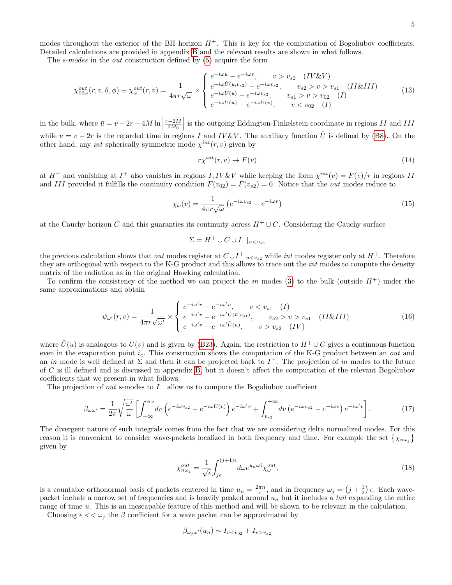modes throughout the exterior of the BH horizon  $H^+$ . This is key for the computation of Bogoliubov coefficients. Detailed calculations are provided in appendix [B](#page-16-0) and the relevant results are shown in what follows.

The s-modes in the out construction defined by [\(5\)](#page-2-0) acquire the form

$$
\chi_{00\omega}^{out}(r,v,\theta,\phi) \equiv \chi_{\omega}^{out}(r,v) = \frac{1}{4\pi r \sqrt{\omega}} \times \begin{cases} e^{-i\omega u} - e^{-i\omega v}, & v > v_{s2} & (IV\&V) \\ e^{-i\omega \hat{U}(\bar{u},v_{s2})} - e^{-i\omega v_{s2}}, & v_{s2} > v > v_{s1} & (II\&III) \\ e^{-i\omega U(u)} - e^{-i\omega v_{s2}}, & v_{s1} > v > v_{02} & (I) \\ e^{-i\omega U(u)} - e^{-i\omega U(v)}, & v < v_{02} & (I) \end{cases}
$$
(13)

in the bulk, where  $\bar{u} = v - 2r - 4M \ln \Big|$  $\frac{r-2M}{2M_0}$  is the outgoing Eddington-Finkelstein coordinate in regions II and III while  $u = v - 2r$  is the retarded time in regions I and IV&V. The auxiliary function  $\hat{U}$  is defined by [\(B8\)](#page-17-0). On the other hand, any *int* spherically symmetric mode  $\chi^{int}(r, v)$  given by

$$
r\chi^{int}(r,v)\to F(v)
$$
\n(14)

at  $H^+$  and vanishing at  $I^+$  also vanishes in regions  $I, IV&V$  while keeping the form  $\chi^{int}(v) = F(v)/r$  in regions II and III provided it fulfills the continuity condition  $F(v_{02}) = F(v_{s2}) = 0$ . Notice that the *out* modes reduce to

$$
\chi_{\omega}(v) = \frac{1}{4\pi r\sqrt{\omega}} \left( e^{-i\omega v_{s2}} - e^{-i\omega v} \right) \tag{15}
$$

at the Cauchy horizon C and this guaranties its continuity across  $H^+ \cup C$ . Considering the Cauchy surface

$$
\Sigma = H^+ \cup C \cup I^+|_{u
$$

the previous calculation shows that *out* modes register at  $C \cup I^+|_{u while *int* modes register only at  $H^+$ . Therefore$ they are orthogonal with respect to the K-G product and this allows to trace out the *int* modes to compute the density matrix of the radiation as in the original Hawking calculation.

To confirm the consistency of the method we can project the in modes [\(3\)](#page-2-1) to the bulk (outside  $H^+$ ) under the same approximations and obtain

$$
\psi_{\omega'}(r,v) = \frac{1}{4\pi r \sqrt{\omega'}} \times \begin{cases} e^{-i\omega'v} - e^{-i\omega'u}, & v < v_{s1} \ (I) \\ e^{-i\omega'v} - e^{-i\omega'\hat{U}(\bar{u}, v_{s1})}, & v_{s2} > v > v_{s1} \ (II\&III) \\ e^{-i\omega'v} - e^{-i\omega'\hat{U}(u)}, & v > v_{s2} \ (IV) \end{cases} \tag{16}
$$

where  $\tilde{U}(u)$  is analogous to  $U(v)$  and is given by [\(B23\)](#page-18-9). Again, the restriction to  $H^+ \cup C$  gives a continuous function even in the evaporation point  $i_e$ . This construction shows the computation of the K-G product between an *out* and an in mode is well defined at  $\Sigma$  and then it can be projected back to  $I^-$ . The projection of in modes to the future of C is ill defined and is discussed in appendix [B,](#page-16-0) but it doesn't affect the computation of the relevant Bogoliubov coefficients that we present in what follows.

The projection of *out* s-modes to  $I^-$  allow us to compute the Bogoliubov coefficient

<span id="page-4-0"></span>
$$
\beta_{\omega\omega'} = \frac{1}{2\pi} \sqrt{\frac{\omega'}{\omega}} \left[ \int_{-\infty}^{v_{02}} dv \left( e^{-i\omega v_{s2}} - e^{-i\omega U(v)} \right) e^{-i\omega' v} + \int_{v_{s2}}^{+\infty} dv \left( e^{-i\omega v_{s2}} - e^{-i\omega v} \right) e^{-i\omega' v} \right]. \tag{17}
$$

The divergent nature of such integrals comes from the fact that we are considering delta normalized modes. For this reason it is convenient to consider wave-packets localized in both frequency and time. For example the set  $\{\chi_{n\omega_j}\}$ given by

<span id="page-4-1"></span>
$$
\chi_{n\omega_{j}}^{out} = \frac{1}{\sqrt{\epsilon}} \int_{j\epsilon}^{(j+1)\epsilon} d\omega e^{u_{n}\omega i} \chi_{\omega}^{out}, \qquad (18)
$$

is a countable orthonormal basis of packets centered in time  $u_n = \frac{2\pi n}{\epsilon}$ , and in frequency  $\omega_j = (j + \frac{1}{2})\epsilon$ . Each wavepacket include a narrow set of frequencies and is heavily peaked around  $u_n$  but it includes a tail expanding the entire range of time u. This is an inescapable feature of this method and will be shown to be relevant in the calculation.

Choosing  $\epsilon \ll \omega_i$  the  $\beta$  coefficient for a wave packet can be approximated by

$$
\beta_{\omega_j\omega'}(u_n) \sim I_{vv_{s2}}
$$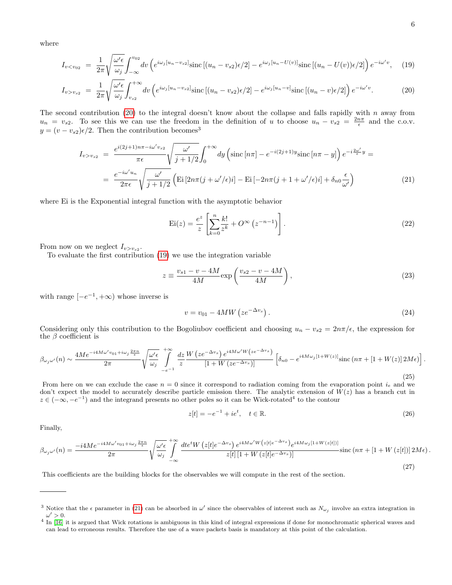where

<span id="page-5-0"></span>
$$
I_{v
$$

$$
I_{v>v_{s2}} = \frac{1}{2\pi} \sqrt{\frac{\omega'\epsilon}{\omega_j}} \int_{v_{s2}}^{+\infty} dv \left( e^{i\omega_j \left[u_n - v_{s2}\right]} \text{sinc}\left[(u_n - v_{s2})\epsilon/2\right] - e^{i\omega_j \left[u_n - v\right]} \text{sinc}\left[(u_n - v)\epsilon/2\right] \right) e^{-i\omega' v} . \tag{20}
$$

The second contribution [\(20\)](#page-5-0) to the integral doesn't know about the collapse and falls rapidly with  $n$  away from  $u_n = v_{s2}$ . To see this we can use the freedom in the definition of u to choose  $u_n - v_{s2} = \frac{2n\pi}{\epsilon}$  and the c.o.v.  $y = (v - v_{s2})\epsilon/2$ . Then the contribution becomes<sup>3</sup>

<span id="page-5-1"></span>
$$
I_{v>v_{s2}} = \frac{e^{i(2j+1)n\pi - i\omega' v_{s2}}}{\pi \epsilon} \sqrt{\frac{\omega'}{j+1/2}} \int_0^{+\infty} dy \left( \operatorname{sinc} \left[ n\pi \right] - e^{-i(2j+1)y} \operatorname{sinc} \left[ n\pi - y \right] \right) e^{-i\frac{2\omega'}{\epsilon}y} =
$$
  

$$
= \frac{e^{-i\omega' u_n}}{2\pi \epsilon} \sqrt{\frac{\omega'}{j+1/2}} \left( \operatorname{Ei} \left[ 2n\pi (j+\omega'/\epsilon)i \right] - \operatorname{Ei} \left[ -2n\pi (j+1+\omega'/\epsilon)i \right] + \delta_{n0} \frac{\epsilon}{\omega'} \right)
$$
(21)

where Ei is the Exponential integral function with the asymptotic behavior

$$
Ei(z) = \frac{e^z}{z} \left[ \sum_{k=0}^{n} \frac{k!}{z^k} + O^{\infty} \left( z^{-n-1} \right) \right].
$$
 (22)

From now on we neglect  $I_{v>v_{s2}}$ .

To evaluate the first contribution [\(19\)](#page-5-0) we use the integration variable

$$
z \equiv \frac{v_{s1} - v - 4M}{4M} \exp\left(\frac{v_{s2} - v - 4M}{4M}\right),\tag{23}
$$

with range  $[-e^{-1}, +\infty)$  whose inverse is

$$
v = v_{01} - 4MW\left(ze^{-\Delta v_s}\right). \tag{24}
$$

Considering only this contribution to the Bogoliubov coefficient and choosing  $u_n - v_{s2} = 2n\pi/\epsilon$ , the expression for the  $\beta$  coefficient is

$$
\beta_{\omega_j\omega'}(n) \sim \frac{4Me^{-i4M\omega'v_{01}+i\omega_j\frac{2\pi n}{\epsilon}}}{2\pi} \sqrt{\frac{\omega'\epsilon}{\omega_j}} \int_{-e^{-1}}^{+\infty} \frac{dz}{z} \frac{W\left(ze^{-\Delta v_s}\right)e^{i4M\omega'W\left(ze^{-\Delta v_s}\right)}}{\left[1+W\left(ze^{-\Delta v_s}\right)\right]} \left[\delta_{n0} - e^{i4M\omega_j\left[1+W(z)\right]}\text{sinc}\left(n\pi + \left[1+W(z)\right]2M\epsilon\right)\right]
$$
\n
$$
(25)
$$

From here on we can exclude the case  $n = 0$  since it correspond to radiation coming from the evaporation point  $i_e$  and we don't expect the model to accurately describe particle emission there. The analytic extension of  $W(z)$  has a branch cut in  $z \in (-\infty, -e^{-1})$  and the integrand presents no other poles so it can be Wick-rotated<sup>4</sup> to the contour

<span id="page-5-2"></span>
$$
z[t] = -e^{-1} + ie^t, \quad t \in \mathbb{R}.
$$
\n(26)

Finally,

$$
\beta_{\omega_j\omega'}(n) = \frac{-i4Me^{-i4M\omega'v_{01}+i\omega_j\frac{2\pi n}{\epsilon}}}{2\pi} \sqrt{\frac{\omega'\epsilon}{\omega_j}} \int_{-\infty}^{+\infty} \frac{dte^t W\left(z[t]e^{-\Delta v_s}\right) e^{i4M\omega' W\left(z[t]e^{-\Delta v_s}\right)} e^{i4M\omega_j[1+W(z[t])]}}{\bar{z}[t]\left[1+W\left(z[t]e^{-\Delta v_s}\right)\right]} \operatorname{sinc}\left(n\pi+[1+W\left(z[t]\right)\right]2M\epsilon). \tag{27}
$$

This coefficients are the building blocks for the observables we will compute in the rest of the section.

.

<sup>&</sup>lt;sup>3</sup> Notice that the  $\epsilon$  parameter in [\(21\)](#page-5-1) can be absorbed in  $\omega'$  since the observables of interest such as  $N_{\omega_j}$  involve an extra integration in  $\omega' > 0$ .

<sup>&</sup>lt;sup>4</sup> In [\[16\]](#page-19-5) it is argued that Wick rotations is ambiguous in this kind of integral expressions if done for monochromatic spherical waves and can lead to erroneous results. Therefore the use of a wave packets basis is mandatory at this point of the calculation.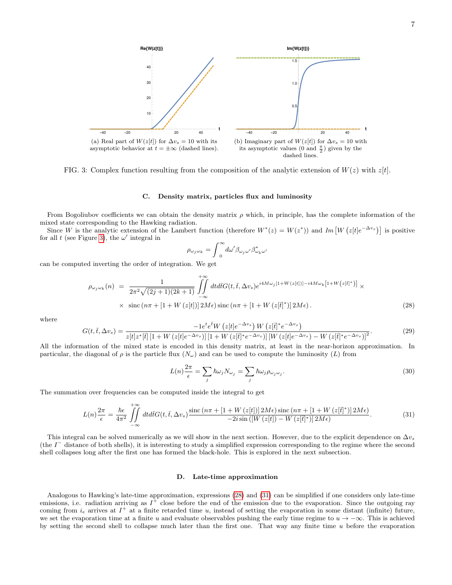<span id="page-6-0"></span>

FIG. 3: Complex function resulting from the composition of the analytic extension of  $W(z)$  with  $z[t]$ .

### C. Density matrix, particles flux and luminosity

From Bogoliubov coefficients we can obtain the density matrix  $\rho$  which, in principle, has the complete information of the mixed state corresponding to the Hawking radiation.

Since W is the analytic extension of the Lambert function (therefore  $W^*(z) = W(z^*))$  and  $Im[W(z|t|e^{-\Delta v_s})]$  is positive for all t (see Figure [3\)](#page-6-0), the  $\omega'$  integral in

$$
\rho_{\omega_j\omega_k}=\int_{\ 0}^{\infty} \! d\omega' \beta_{\omega_j\omega'}\beta^*_{\omega_k\omega'}
$$

can be computed inverting the order of integration. We get

<span id="page-6-1"></span>
$$
\rho_{\omega_j \omega_k}(n) = \frac{1}{2\pi^2 \sqrt{(2j+1)(2k+1)}} \iint_{-\infty}^{+\infty} dt d\bar{t} G(t, \bar{t}, \Delta v_s) e^{i4M\omega_j[1+W(z[t])] - i4M\omega_k[1+W(z[\bar{t}])])} \times \times \operatorname{sinc}\left(n\pi + [1+W(z[t])] \right) 2M\epsilon) \operatorname{sinc}\left(n\pi + [1+W(z[\bar{t}])] \right) 2M\epsilon).
$$
\n(28)

where

$$
G(t,\bar{t},\Delta v_s) = \frac{-1e^t e^{\bar{t}} W\left(z[t]e^{-\Delta v_s}\right) W\left(z[\bar{t}\right]^* e^{-\Delta v_s}\right)}{z[t]z^*[\bar{t}]\left[1+W\left(z[t]e^{-\Delta v_s}\right)\right]\left[1+W\left(z[\bar{t}\right]^* e^{-\Delta v_s}\right)\left[W\left(z[t]e^{-\Delta v_s}\right)-W\left(z[\bar{t}\right]^* e^{-\Delta v_s}\right)\right]^2}.
$$
\n(29)

All the information of the mixed state is encoded in this density matrix, at least in the near-horizon approximation. In particular, the diagonal of  $\rho$  is the particle flux  $(N_\omega)$  and can be used to compute the luminosity  $(L)$  from

$$
L(n)\frac{2\pi}{\epsilon} = \sum_{j} \hbar \omega_j N_{\omega_j} = \sum_{j} \hbar \omega_j \rho_{\omega_j \omega_j}.
$$
\n(30)

The summation over frequencies can be computed inside the integral to get

<span id="page-6-2"></span>
$$
L(n)\frac{2\pi}{\epsilon} = \frac{\hbar\epsilon}{4\pi^2} \iint\limits_{-\infty}^{+\infty} dt d\bar{t} G(t,\bar{t},\Delta v_s) \frac{\operatorname{sinc}\left(n\pi + \left[1 + W\left(z[t]\right)\right]2M\epsilon\right)\operatorname{sinc}\left(n\pi + \left[1 + W\left(z[\bar{t}\right]^*\right)\right]2M\epsilon\right)}{-2i\operatorname{sin}\left(\left[W\left(z[t]\right) - W\left(z[\bar{t}\right]^*\right)\right]2M\epsilon\right)}.\tag{31}
$$

This integral can be solved numerically as we will show in the next section. However, due to the explicit dependence on  $\Delta v_s$ (the  $I^-$  distance of both shells), it is interesting to study a simplified expression corresponding to the regime where the second shell collapses long after the first one has formed the black-hole. This is explored in the next subsection.

#### D. Late-time approximation

Analogous to Hawking's late-time approximation, expressions [\(28\)](#page-6-1) and [\(31\)](#page-6-2) can be simplified if one considers only late-time emissions, i.e. radiation arriving as  $I^+$  close before the end of the emission due to the evaporation. Since the outgoing ray coming from  $i_e$  arrives at  $I^+$  at a finite retarded time u, instead of setting the evaporation in some distant (infinite) future, we set the evaporation time at a finite u and evaluate observables pushing the early time regime to  $u \to -\infty$ . This is achieved by setting the second shell to collapse much later than the first one. That way any finite time  $u$  before the evaporation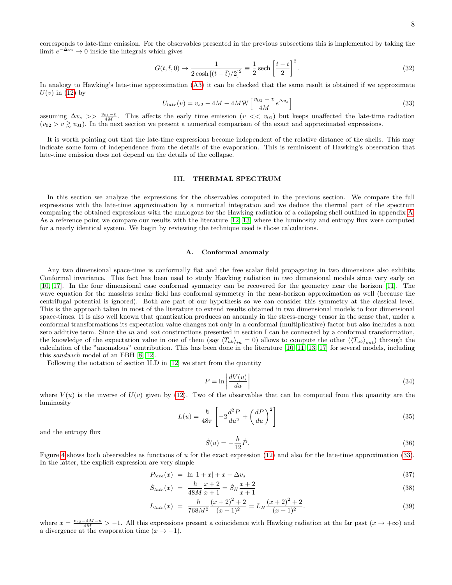corresponds to late-time emission. For the observables presented in the previous subsections this is implemented by taking the limit  $e^{-\Delta v_s} \to 0$  inside the integrals which gives

<span id="page-7-3"></span>
$$
G(t,\bar{t},0) \to \frac{1}{2\cosh\left[(t-\bar{t})/2\right]^2} \equiv \frac{1}{2}\operatorname{sech}\left[\frac{t-\bar{t}}{2}\right]^2.
$$
\n(32)

In analogy to Hawking's late-time approximation [\(A3\)](#page-14-0) it can be checked that the same result is obtained if we approximate  $U(v)$  in [\(12\)](#page-3-2) by

<span id="page-7-1"></span>
$$
U_{late}(v) = v_{s2} - 4M - 4MW \left[ \frac{v_{01} - v}{4M} e^{\Delta v_s} \right]
$$
\n(33)

assuming  $\Delta v_s$  >>  $\frac{v_{01}-v}{4M}$ . This affects the early time emission  $(v \ll v_{01})$  but keeps unaffected the late-time radiation  $(v_{02} > v \geq v_{01})$ . In the next section we present a numerical comparison of the exact and approximated expressions.

It is worth pointing out that the late-time expressions become independent of the relative distance of the shells. This may indicate some form of independence from the details of the evaporation. This is reminiscent of Hawking's observation that late-time emission does not depend on the details of the collapse.

### III. THERMAL SPECTRUM

In this section we analyze the expressions for the observables computed in the previous section. We compare the full expressions with the late-time approximation by a numerical integration and we deduce the thermal part of the spectrum comparing the obtained expressions with the analogous for the Hawking radiation of a collapsing shell outlined in appendix [A.](#page-14-1) As a reference point we compare our results with the literature [\[12,](#page-19-0) [13\]](#page-19-1) where the luminosity and entropy flux were computed for a nearly identical system. We begin by reviewing the technique used is those calculations.

# <span id="page-7-0"></span>A. Conformal anomaly

Any two dimensional space-time is conformally flat and the free scalar field propagating in two dimensions also exhibits Conformal invariance. This fact has been used to study Hawking radiation in two dimensional models since very early on [\[10,](#page-18-7) [17\]](#page-19-6). In the four dimensional case conformal symmetry can be recovered for the geometry near the horizon [\[11\]](#page-19-2). The wave equation for the massless scalar field has conformal symmetry in the near-horizon approximation as well (because the centrifugal potential is ignored). Both are part of our hypothesis so we can consider this symmetry at the classical level. This is the approach taken in most of the literature to extend results obtained in two dimensional models to four dimensional space-times. It is also well known that quantization produces an anomaly in the stress-energy tensor in the sense that, under a conformal transformations its expectation value changes not only in a conformal (multiplicative) factor but also includes a non zero additive term. Since the in and out constructions presented in section I can be connected by a conformal transformation, the knowledge of the expectation value in one of them (say  $\langle T_{ab}\rangle_{in}=0$ ) allows to compute the other  $(\langle T_{ab}\rangle_{out})$  through the calculation of the "anomalous" contribution. This has been done in the literature [\[10,](#page-18-7) [11,](#page-19-2) [13,](#page-19-1) [17\]](#page-19-6) for several models, including this sandwich model of an EBH [\[8,](#page-18-6) [12\]](#page-19-0).

Following the notation of section II.D in [\[12\]](#page-19-0) we start from the quantity

$$
P = \ln \left| \frac{dV(u)}{du} \right| \tag{34}
$$

where  $V(u)$  is the inverse of  $U(v)$  given by [\(12\)](#page-3-2). Two of the observables that can be computed from this quantity are the luminosity

<span id="page-7-2"></span>
$$
L(u) = \frac{\hbar}{48\pi} \left[ -2\frac{d^2P}{du^2} + \left(\frac{dP}{du}\right)^2 \right] \tag{35}
$$

and the entropy flux

$$
\dot{S}(u) = -\frac{\hbar}{12}\dot{P}.\tag{36}
$$

Figure [4](#page-8-0) shows both observables as functions of u for the exact expression  $(12)$  and also for the late-time approximation  $(33)$ . In the latter, the explicit expression are very simple

<span id="page-7-4"></span>
$$
P_{late}(x) = \ln|1+x| + x - \Delta v_s \tag{37}
$$

$$
\dot{S}_{late}(x) = \frac{\hbar}{48M} \frac{x+2}{x+1} = \dot{S}_H \frac{x+2}{x+1}
$$
\n(38)

$$
L_{late}(x) = \frac{\hbar}{768M^2} \frac{(x+2)^2 + 2}{(x+1)^2} = L_H \frac{(x+2)^2 + 2}{(x+1)^2}.
$$
\n(39)

where  $x = \frac{v_{s2}-4M-u}{4M} > -1$ . All this expressions present a coincidence with Hawking radiation at the far past  $(x \to +\infty)$  and a divergence at the evaporation time  $(x \to -1)$ .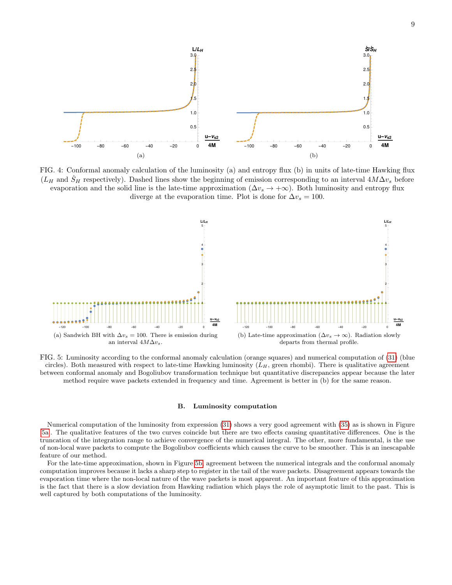<span id="page-8-0"></span>

FIG. 4: Conformal anomaly calculation of the luminosity (a) and entropy flux (b) in units of late-time Hawking flux  $(L_H$  and  $\dot{S}_H$  respectively). Dashed lines show the beginning of emission corresponding to an interval  $4M\Delta v_s$  before evaporation and the solid line is the late-time approximation ( $\Delta v_s \rightarrow +\infty$ ). Both luminosity and entropy flux diverge at the evaporation time. Plot is done for  $\Delta v_s = 100$ .

<span id="page-8-1"></span>

FIG. 5: Luminosity according to the conformal anomaly calculation (orange squares) and numerical computation of [\(31\)](#page-6-2) (blue circles). Both measured with respect to late-time Hawking luminosity  $(L_H)$ , green rhombi). There is qualitative agreement between conformal anomaly and Bogoliubov transformation technique but quantitative discrepancies appear because the later method require wave packets extended in frequency and time. Agreement is better in (b) for the same reason.

### <span id="page-8-2"></span>B. Luminosity computation

Numerical computation of the luminosity from expression [\(31\)](#page-6-2) shows a very good agreement with [\(35\)](#page-7-2) as is shown in Figure [\[5a\]](#page-8-1). The qualitative features of the two curves coincide but there are two effects causing quantitative differences. One is the truncation of the integration range to achieve convergence of the numerical integral. The other, more fundamental, is the use of non-local wave packets to compute the Bogoliubov coefficients which causes the curve to be smoother. This is an inescapable feature of our method.

For the late-time approximation, shown in Figure [5b,](#page-8-2) agreement between the numerical integrals and the conformal anomaly computation improves because it lacks a sharp step to register in the tail of the wave packets. Disagreement appears towards the evaporation time where the non-local nature of the wave packets is most apparent. An important feature of this approximation is the fact that there is a slow deviation from Hawking radiation which plays the role of asymptotic limit to the past. This is well captured by both computations of the luminosity.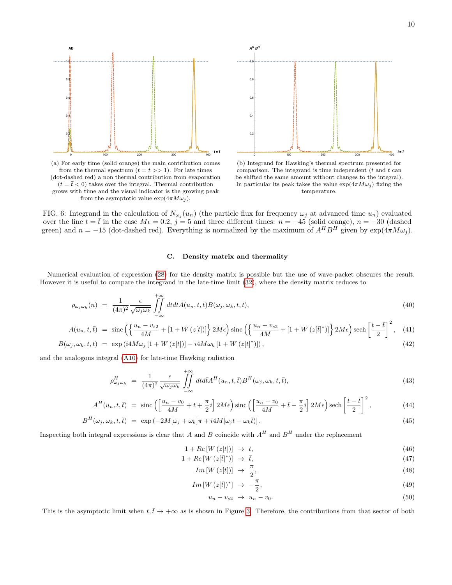<span id="page-9-0"></span>

from the thermal spectrum  $(t = \bar{t} >> 1)$ . For late times (dot-dashed red) a non thermal contribution from evaporation  $(t = \bar{t} < 0)$  takes over the integral. Thermal contribution grows with time and the visual indicator is the growing peak from the asymptotic value  $\exp(4\pi M\omega_j)$ .



(b) Integrand for Hawking's thermal spectrum presented for comparison. The integrand is time independent ( $t$  and  $\bar{t}$  can be shifted the same amount without changes to the integral). In particular its peak takes the value  $\exp(4\pi M\omega_i)$  fixing the temperature.

FIG. 6: Integrand in the calculation of  $N_{\omega_j}(u_n)$  (the particle flux for frequency  $\omega_j$  at advanced time  $u_n$ ) evaluated over the line  $t = \bar{t}$  in the case  $M\epsilon = 0.2$ ,  $j = 5$  and three different times:  $n = -45$  (solid orange),  $n = -30$  (dashed green) and  $n = -15$  (dot-dashed red). Everything is normalized by the maximum of  $A^H B^H$  given by  $\exp(4\pi M\omega_j)$ .

# <span id="page-9-1"></span>C. Density matrix and thermality

Numerical evaluation of expression [\(28\)](#page-6-1) for the density matrix is possible but the use of wave-packet obscures the result. However it is useful to compare the integrand in the late-time limit [\(32\)](#page-7-3), where the density matrix reduces to

$$
\rho_{\omega_j \omega_k}(n) = \frac{1}{(4\pi)^2} \frac{\epsilon}{\sqrt{\omega_j \omega_k}} \iint\limits_{-\infty}^{+\infty} dt d\bar{t} A(u_n, t, \bar{t}) B(\omega_j, \omega_k, t, \bar{t}), \tag{40}
$$

$$
A(u_n, t, \bar{t}) = \operatorname{sinc}\left(\left\{\frac{u_n - v_{s2}}{4M} + [1 + W(z[t])]\right\} 2M\epsilon\right) \operatorname{sinc}\left(\left\{\frac{u_n - v_{s2}}{4M} + [1 + W(z[\bar{t}]^*)]\right\} 2M\epsilon\right) \operatorname{sech}\left[\frac{t - \bar{t}}{2}\right]^2,\tag{41}
$$

$$
B(\omega_j, \omega_k, t, \bar{t}) = \exp(i4M\omega_j \left[1 + W\left(z[t]\right)\right] - i4M\omega_k \left[1 + W\left(z[t]^*\right)\right]),\tag{42}
$$

and the analogous integral [\(A10\)](#page-15-0) for late-time Hawking radiation

$$
\rho_{\omega_j \omega_k}^H = \frac{1}{(4\pi)^2} \frac{\epsilon}{\sqrt{\omega_j \omega_k}} \iint\limits_{-\infty}^{+\infty} dt d\bar{t} A^H(u_n, t, \bar{t}) B^H(\omega_j, \omega_k, t, \bar{t}), \tag{43}
$$

$$
A^{H}(u_{n},t,\bar{t}) = \text{sinc}\left(\left[\frac{u_{n}-v_{0}}{4M}+t+\frac{\pi}{2}i\right]2M\epsilon\right)\text{sinc}\left(\left[\frac{u_{n}-v_{0}}{4M}+\bar{t}-\frac{\pi}{2}i\right]2M\epsilon\right)\text{sech}\left[\frac{t-\bar{t}}{2}\right]^{2},\tag{44}
$$

$$
B^{H}(\omega_{j}, \omega_{k}, t, \bar{t}) = \exp(-2M[\omega_{j} + \omega_{k}]\pi + i4M[\omega_{j}t - \omega_{k}\bar{t}]]. \qquad (45)
$$

Inspecting both integral expressions is clear that A and B coincide with  $A^H$  and  $B^H$  under the replacement

$$
1 + Re[W(z[t])] \rightarrow t,
$$
\n(46)

$$
1 + Re\left[W\left(z[\bar{t}\right]^*)\right] \rightarrow \bar{t},\tag{47}
$$

$$
Im\left[W\left(z[t]\right)\right] \rightarrow \frac{\pi}{2},\tag{48}
$$

$$
Im\left[W\left(z[\bar{t}]\right)^*\right] \rightarrow -\frac{\pi}{2},\tag{49}
$$

$$
u_n - v_{s2} \rightarrow u_n - v_0. \tag{50}
$$

This is the asymptotic limit when  $t, \bar{t} \to +\infty$  as is shown in Figure [3.](#page-6-0) Therefore, the contributions from that sector of both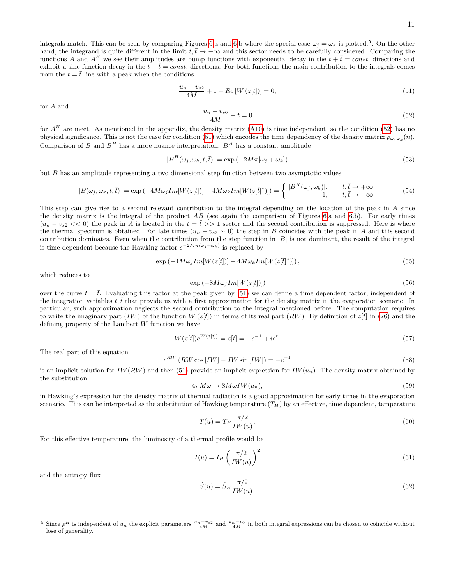integrals match. This can be seen by comparing Figures [6.](#page-9-0)a and 6.b where the special case  $\omega_j = \omega_k$  is plotted.<sup>5</sup>. On the other hand, the integrand is quite different in the limit  $t, \bar{t} \to -\infty$  and this sector needs to be carefully considered. Comparing the functions A and  $A^H$  we see their amplitudes are bump functions with exponential decay in the  $t + \bar{t} = const.$  directions and exhibit a sinc function decay in the  $t - \overline{t} = const.$  directions. For both functions the main contribution to the integrals comes from the  $t = \bar{t}$  line with a peak when the conditions

<span id="page-10-1"></span>
$$
\frac{u_n - v_{s2}}{4M} + 1 + Re[W(z[t])] = 0,
$$
\n(51)

for A and

<span id="page-10-0"></span>
$$
\frac{u_n - v_{s0}}{4M} + t = 0\tag{52}
$$

for  $A<sup>H</sup>$  are meet. As mentioned in the appendix, the density matrix [\(A10\)](#page-15-0) is time independent, so the condition [\(52\)](#page-10-0) has no physical significance. This is not the case for condition [\(51\)](#page-10-1) which encodes the time dependency of the density matrix  $\rho_{\omega_j \omega_k}(n)$ . Comparison of B and  $B^H$  has a more nuance interpretation.  $B^H$  has a constant amplitude

$$
|B^H(\omega_j, \omega_k, t, \bar{t})| = \exp(-2M\pi[\omega_j + \omega_k])
$$
\n(53)

but B has an amplitude representing a two dimensional step function between two asymptotic values

$$
|B(\omega_j, \omega_k, t, \bar{t})| = \exp(-4M\omega_j Im[W(z[t)]) - 4M\omega_k Im[W(z[\bar{t}^*)]) = \begin{cases} |B^H(\omega_j, \omega_k)|, & t, \bar{t} \to +\infty \\ 1, & t, \bar{t} \to -\infty \end{cases}
$$
(54)

This step can give rise to a second relevant contribution to the integral depending on the location of the peak in A since the density matrix is the integral of the product  $AB$  (see again the comparison of Figures [6.](#page-9-0)a and 6.b). For early times  $(u_n - v_{s2} << 0)$  the peak in A is located in the  $t = \bar{t} >> 1$  sector and the second contribution is suppressed. Here is where the thermal spectrum is obtained. For late times  $(u_n - v_{s2} \sim 0)$  the step in B coincides with the peak in A and this second contribution dominates. Even when the contribution from the step function in  $|B|$  is not dominant, the result of the integral is time dependent because the Hawking factor  $e^{-2M\pi(\omega_j+\omega_k)}$  is replaced by

$$
\exp\left(-4M\omega_j Im[W(z[t])] - 4M\omega_k Im[W(z[t]^*)]\right),\tag{55}
$$

which reduces to

$$
\exp\left(-8M\omega_j Im[W(z[t])]\right) \tag{56}
$$

over the curve  $t = \bar{t}$ . Evaluating this factor at the peak given by [\(51\)](#page-10-1) we can define a time dependent factor, independent of the integration variables  $t, \bar{t}$  that provide us with a first approximation for the density matrix in the evaporation scenario. In particular, such approximation neglects the second contribution to the integral mentioned before. The computation requires to write the imaginary part (IW) of the function  $W(z[t])$  in terms of its real part (RW). By definition of  $z[t]$  in [\(26\)](#page-5-2) and the defining property of the Lambert  $W$  function we have

$$
W(z[t])e^{W(z[t])} = z[t] = -e^{-1} + ie^t.
$$
\n(57)

The real part of this equation

$$
e^{RW} \left( RW \cos \left[ IW \right] - IW \sin \left[ IW \right] \right) = -e^{-1}
$$
\n
$$
(58)
$$

is an implicit solution for  $IW(RW)$  and then [\(51\)](#page-10-1) provide an implicit expression for  $IW(u_n)$ . The density matrix obtained by the substitution

$$
4\pi M\omega \to 8M\omega I W(u_n),\tag{59}
$$

in Hawking's expression for the density matrix of thermal radiation is a good approximation for early times in the evaporation scenario. This can be interpreted as the substitution of Hawking temperature  $(T_H)$  by an effective, time dependent, temperature

$$
T(u) = T_H \frac{\pi/2}{IW(u)}.\tag{60}
$$

For this effective temperature, the luminosity of a thermal profile would be

$$
I(u) = I_H \left(\frac{\pi/2}{IW(u)}\right)^2 \tag{61}
$$

and the entropy flux

$$
\dot{S}(u) = \dot{S}_H \frac{\pi/2}{IW(u)}.\tag{62}
$$

<sup>&</sup>lt;sup>5</sup> Since  $\rho^H$  is independent of  $u_n$  the explicit parameters  $\frac{u_n-v_{s2}}{4M}$  and  $\frac{u_n-v_0}{4M}$  in both integral expressions can be chosen to coincide without lose of generality.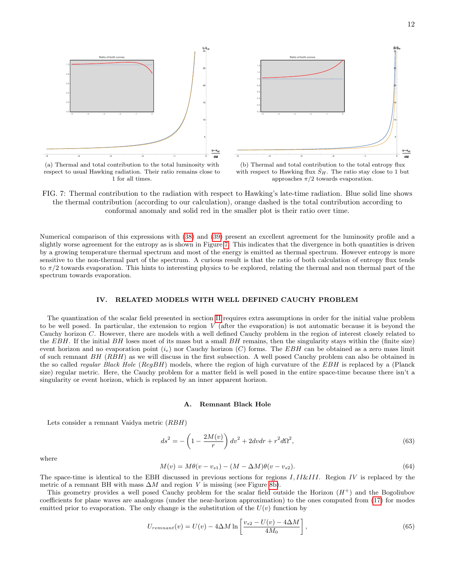<span id="page-11-0"></span>

respect to usual Hawking radiation. Their ratio remains close to 1 for all times.

with respect to Hawking flux  $S_H$ . The ratio stay close to 1 but approaches  $\pi/2$  towards evaporation.

FIG. 7: Thermal contribution to the radiation with respect to Hawking's late-time radiation. Blue solid line shows the thermal contribution (according to our calculation), orange dashed is the total contribution according to conformal anomaly and solid red in the smaller plot is their ratio over time.

Numerical comparison of this expressions with [\(38\)](#page-7-4) and [\(39\)](#page-7-4) present an excellent agreement for the luminosity profile and a slightly worse agreement for the entropy as is shown in Figure [7.](#page-11-0) This indicates that the divergence in both quantities is driven by a growing temperature thermal spectrum and most of the energy is emitted as thermal spectrum. However entropy is more sensitive to the non-thermal part of the spectrum. A curious result is that the ratio of both calculation of entropy flux tends to  $\pi/2$  towards evaporation. This hints to interesting physics to be explored, relating the thermal and non thermal part of the spectrum towards evaporation.

# IV. RELATED MODELS WITH WELL DEFINED CAUCHY PROBLEM

The quantization of the scalar field presented in section [II](#page-1-2) requires extra assumptions in order for the initial value problem to be well posed. In particular, the extension to region  $V$  (after the evaporation) is not automatic because it is beyond the Cauchy horizon C. However, there are models with a well defined Cauchy problem in the region of interest closely related to the EBH. If the initial BH loses most of its mass but a small BH remains, then the singularity stays within the (finite size) event horizon and no evaporation point  $(i_e)$  nor Cauchy horizon  $(C)$  forms. The EBH can be obtained as a zero mass limit of such remnant  $BH$  ( $RBH$ ) as we will discuss in the first subsection. A well posed Cauchy problem can also be obtained in the so called *regular Black Hole* (RegBH) models, where the region of high curvature of the EBH is replaced by a (Planck size) regular metric. Here, the Cauchy problem for a matter field is well posed in the entire space-time because there isn't a singularity or event horizon, which is replaced by an inner apparent horizon.

#### A. Remnant Black Hole

Lets consider a remnant Vaidya metric (RBH)

<span id="page-11-1"></span>
$$
ds^{2} = -\left(1 - \frac{2M(v)}{r}\right)dv^{2} + 2dvdr + r^{2}d\Omega^{2},
$$
\n(63)

where

$$
M(v) = M\theta(v - v_{s1}) - (M - \Delta M)\theta(v - v_{s2}).
$$
\n(64)

The space-time is identical to the EBH discussed in previous sections for regions I, II&III. Region IV is replaced by the metric of a remnant BH with mass  $\Delta M$  and region V is missing (see Figure [8b\)](#page-12-0).

This geometry provides a well posed Cauchy problem for the scalar field outside the Horizon  $(H^+)$  and the Bogoliubov coefficients for plane waves are analogous (under the near-horizon approximation) to the ones computed from [\(17\)](#page-4-0) for modes emitted prior to evaporation. The only change is the substitution of the  $U(v)$  function by

<span id="page-11-2"></span>
$$
U_{remnant}(v) = U(v) - 4\Delta M \ln \left[ \frac{v_{s2} - U(v) - 4\Delta M}{4M_0} \right],\tag{65}
$$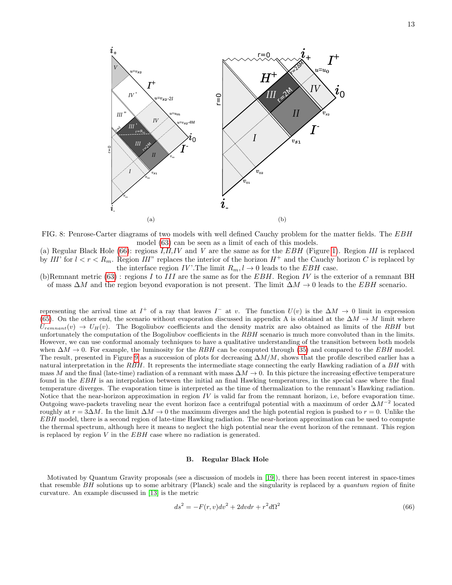<span id="page-12-2"></span>

<span id="page-12-0"></span>FIG. 8: Penrose-Carter diagrams of two models with well defined Cauchy problem for the matter fields. The EBH model [\(63\)](#page-11-1) can be seen as a limit of each of this models.

(a) Regular Black Hole [\(66\)](#page-12-1): regions  $I, II, IV$  and V are the same as for the  $EBH$  (Figure [1\)](#page-1-1). Region III is replaced by III' for  $l < r < R_m$ . Region III" replaces the interior of the horizon  $H^+$  and the Cauchy horizon C is replaced by the interface region  $IV'$ . The limit  $R_m, l \to 0$  leads to the  $EBH$  case.

(b)Remnant metric  $(63)$ : regions I to III are the same as for the EBH. Region IV is the exterior of a remnant BH of mass  $\Delta M$  and the region beyond evaporation is not present. The limit  $\Delta M \to 0$  leads to the EBH scenario.

representing the arrival time at  $I^+$  of a ray that leaves  $I^-$  at v. The function  $U(v)$  is the  $\Delta M \to 0$  limit in expression [\(65\)](#page-11-2). On the other end, the scenario without evaporation discussed in appendix A is obtained at the  $\Delta M \to M$  limit where  $U_{remnant}(v) \rightarrow U_H(v)$ . The Bogoliubov coefficients and the density matrix are also obtained as limits of the RBH but unfortunately the computation of the Bogoliubov coefficients in the  $RBH$  scenario is much more convoluted than in the limits. However, we can use conformal anomaly techniques to have a qualitative understanding of the transition between both models when  $\Delta M \to 0$ . For example, the luminosity for the RBH can be computed through [\(35\)](#page-7-2) and compared to the EBH model. The result, presented in Figure [9](#page-13-0) as a succession of plots for decreasing  $\Delta M/M$ , shows that the profile described earlier has a natural interpretation in the RBH. It represents the intermediate stage connecting the early Hawking radiation of a BH with mass M and the final (late-time) radiation of a remnant with mass  $\Delta M \to 0$ . In this picture the increasing effective temperature found in the EBH is an interpolation between the initial an final Hawking temperatures, in the special case where the final temperature diverges. The evaporation time is interpreted as the time of thermalization to the remnant's Hawking radiation. Notice that the near-horizon approximation in region  $IV$  is valid far from the remnant horizon, i.e, before evaporation time. Outgoing wave-packets traveling near the event horizon face a centrifugal potential with a maximum of order  $\Delta M^{-2}$  located roughly at  $r = 3\Delta M$ . In the limit  $\Delta M \to 0$  the maximum diverges and the high potential region is pushed to  $r = 0$ . Unlike the EBH model, there is a second region of late-time Hawking radiation. The near-horizon approximation can be used to compute the thermal spectrum, although here it means to neglect the high potential near the event horizon of the remnant. This region is replaced by region  $V$  in the  $EBH$  case where no radiation is generated.

### B. Regular Black Hole

Motivated by Quantum Gravity proposals (see a discussion of models in [\[19\]](#page-19-7)), there has been recent interest in space-times that resemble BH solutions up to some arbitrary (Planck) scale and the singularity is replaced by a quantum region of finite curvature. An example discussed in [\[13\]](#page-19-1) is the metric

<span id="page-12-1"></span>
$$
ds2 = -F(r, v)dv2 + 2dvdr + r2d\Omega2
$$
\n(66)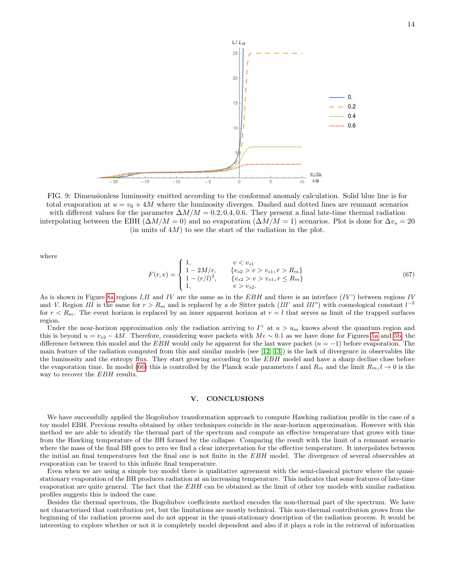<span id="page-13-0"></span>

FIG. 9: Dimensionless luminosity emitted according to the conformal anomaly calculation. Solid blue line is for total evaporation at  $u = v_0 + 4M$  where the luminosity diverges. Dashed and dotted lines are remnant scenarios with different values for the parameter  $\Delta M/M = 0.2, 0.4, 0.6$ . They present a final late-time thermal radiation interpolating between the EBH ( $\Delta M/M = 0$ ) and no evaporation ( $\Delta M/M = 1$ ) scenarios. Plot is done for  $\Delta v_s = 20$ (in units of  $4M$ ) to see the start of the radiation in the plot.

where

$$
F(r,v) = \begin{cases} 1, & v < v_{s1} \\ 1 - 2M/r, & \{v_{s2} > v > v_{s1}, r > R_m\} \\ 1 - (r/l)^2, & \{v_{s2} > v > v_{s1}, r \le R_m\} \\ 1, & v > v_{s2}. \end{cases}
$$
(67)

As is shown in Figure [8a](#page-12-2) regions I, II and IV are the same as in the  $EBH$  and there is an interface  $(IV')$  between regions IV and V. Region III is the same for  $r > R_m$  and is replaced by a de Sitter patch (III' and III") with cosmological constant  $l^{-2}$ for  $r < R_m$ . The event horizon is replaced by an inner apparent horizon at  $r = l$  that serves as limit of the trapped surfaces region.

Under the near-horizon approximation only the radiation arriving to  $I^+$  at  $u > u_m$  knows about the quantum region and this is beyond  $u = v_{s2} - 4M$ . Therefore, considering wave packets with  $M \epsilon \sim 0.1$  as we have done for Figures [5a](#page-8-1) and [5b,](#page-8-2) the difference between this model and the EBH would only be apparent for the last wave packet  $(n = -1)$  before evaporation. The main feature of the radiation computed from this and similar models (see [\[12,](#page-19-0) [13\]](#page-19-1)) is the lack of divergence in observables like the luminosity and the entropy flux. They start growing according to the EBH model and have a sharp decline close before the evaporation time. In model [\(66\)](#page-12-1) this is controlled by the Planck scale parameters l and  $R_m$  and the limit  $R_m, l \to 0$  is the way to recover the EBH results.

# V. CONCLUSIONS

We have successfully applied the Bogoliubov transformation approach to compute Hawking radiation profile in the case of a toy model EBH. Previous results obtained by other techniques coincide in the near-horizon approximation. However with this method we are able to identify the thermal part of the spectrum and compute an effective temperature that grows with time from the Hawking temperature of the BH formed by the collapse. Comparing the result with the limit of a remnant scenario where the mass of the final BH goes to zero we find a clear interpretation for the effective temperature. It interpolates between the initial an final temperatures but the final one is not finite in the EBH model. The divergence of several observables at evaporation can be traced to this infinite final temperature.

Even when we are using a simple toy model there is qualitative agreement with the semi-classical picture where the quasistationary evaporation of the BH produces radiation at an increasing temperature. This indicates that some features of late-time evaporation are quite general. The fact that the  $EBH$  can be obtained as the limit of other toy models with similar radiation profiles suggests this is indeed the case.

Besides the thermal spectrum, the Bogoliubov coefficients method encodes the non-thermal part of the spectrum. We have not characterized that contribution yet, but the limitations are mostly technical. This non-thermal contribution grows from the beginning of the radiation process and do not appear in the quasi-stationary description of the radiation process. It would be interesting to explore whether or not it is completely model dependent and also if it plays a role in the retrieval of information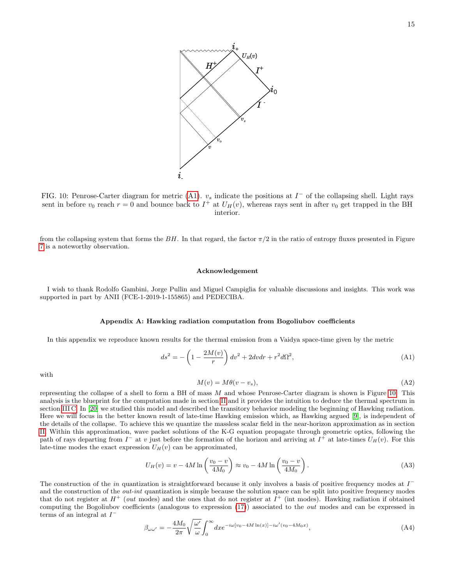<span id="page-14-3"></span>

FIG. 10: Penrose-Carter diagram for metric [\(A1\)](#page-14-2).  $v_s$  indicate the positions at  $I^-$  of the collapsing shell. Light rays sent in before  $v_0$  reach  $r = 0$  and bounce back to  $I^+$  at  $U_H(v)$ , whereas rays sent in after  $v_0$  get trapped in the BH interior.

from the collapsing system that forms the BH. In that regard, the factor  $\pi/2$  in the ratio of entropy fluxes presented in Figure [7](#page-11-0) is a noteworthy observation.

### Acknowledgement

I wish to thank Rodolfo Gambini, Jorge Pullin and Miguel Campiglia for valuable discussions and insights. This work was supported in part by ANII (FCE-1-2019-1-155865) and PEDECIBA.

### <span id="page-14-1"></span>Appendix A: Hawking radiation computation from Bogoliubov coefficients

In this appendix we reproduce known results for the thermal emission from a Vaidya space-time given by the metric

<span id="page-14-2"></span>
$$
ds^{2} = -\left(1 - \frac{2M(v)}{r}\right)dv^{2} + 2dvdr + r^{2}d\Omega^{2},
$$
\n(A1)

with

$$
M(v) = M\theta(v - v_s),\tag{A2}
$$

representing the collapse of a shell to form a BH of mass  $M$  and whose Penrose-Carter diagram is shown is Figure [10.](#page-14-3) This analysis is the blueprint for the computation made in section [II](#page-1-2) and it provides the intuition to deduce the thermal spectrum in section [III C.](#page-9-1) In [\[20\]](#page-19-8) we studied this model and described the transitory behavior modeling the beginning of Hawking radiation. Here we will focus in the better known result of late-time Hawking emission which, as Hawking argued [\[9\]](#page-18-8), is independent of the details of the collapse. To achieve this we quantize the massless scalar field in the near-horizon approximation as in section [II.](#page-1-2) Within this approximation, wave packet solutions of the K-G equation propagate through geometric optics, following the path of rays departing from  $I^-$  at v just before the formation of the horizon and arriving at  $I^+$  at late-times  $U_H(v)$ . For this late-time modes the exact expression  $U_H(v)$  can be approximated,

<span id="page-14-0"></span>
$$
U_H(v) = v - 4M \ln \left( \frac{v_0 - v}{4M_0} \right) \approx v_0 - 4M \ln \left( \frac{v_0 - v}{4M_0} \right). \tag{A3}
$$

The construction of the in quantization is straightforward because it only involves a basis of positive frequency modes at  $I^$ and the construction of the *out-int* quantization is simple because the solution space can be split into positive frequency modes that do not register at  $H^+$  (*out* modes) and the ones that do not register at  $I^+$  (int modes). Hawking radiation if obtained computing the Bogoliubov coefficients (analogous to expression [\(17\)](#page-4-0)) associated to the out modes and can be expressed in terms of an integral at  $I^-$ 

$$
\beta_{\omega\omega'} = -\frac{4M_0}{2\pi} \sqrt{\frac{\omega'}{\omega}} \int_0^\infty dx e^{-i\omega[v_0 - 4M\ln(x)] - i\omega'(v_0 - 4M_0x)},\tag{A4}
$$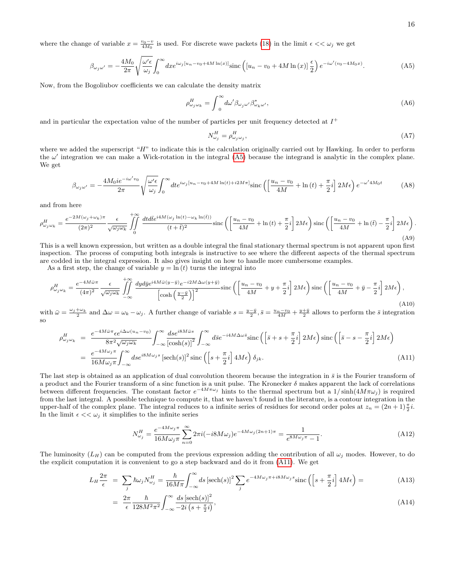where the change of variable  $x = \frac{v_0 - v}{4M_0}$  is used. For discrete wave packets [\(18\)](#page-4-1) in the limit  $\epsilon \ll \omega_j$  we get

<span id="page-15-1"></span>
$$
\beta_{\omega_j \omega'} = -\frac{4M_0}{2\pi} \sqrt{\frac{\omega'\epsilon}{\omega_j}} \int_0^\infty dx e^{i\omega_j \left[u_n - v_0 + 4M\ln(x)\right]} \text{sinc}\left(\left[u_n - v_0 + 4M\ln(x)\right]\frac{\epsilon}{2}\right) e^{-i\omega'(v_0 - 4M_0x)}.\tag{A5}
$$

Now, from the Bogoliubov coefficients we can calculate the density matrix

$$
\rho_{\omega_j \omega_k}^H = \int_0^\infty d\omega' \beta_{\omega_j \omega'} \beta_{\omega_k \omega'}^*,\tag{A6}
$$

and in particular the expectation value of the number of particles per unit frequency detected at  $I^+$ 

$$
N_{\omega_j}^H = \rho_{\omega_j \omega_j}^H,\tag{A7}
$$

where we added the superscript " $H$ " to indicate this is the calculation originally carried out by Hawking. In order to perform the  $\omega'$  integration we can make a Wick-rotation in the integral [\(A5\)](#page-15-1) because the integrand is analytic in the complex plane. We get

$$
\beta_{\omega_j \omega'} = -\frac{4M_0 i e^{-i\omega' v_0}}{2\pi} \sqrt{\frac{\omega' \epsilon}{\omega_j}} \int_0^\infty dt e^{i\omega_j \left[u_n - v_0 + 4M \ln(t) + i2M\pi\right]} \text{sinc}\left(\left[\frac{u_n - v_0}{4M} + \ln(t) + \frac{\pi}{2}i\right] 2M\epsilon\right) e^{-\omega' 4M_0 t} \tag{A8}
$$

and from here

$$
\rho_{\omega_j\omega_k}^H = \frac{e^{-2M(\omega_j + \omega_k)\pi}}{(2\pi)^2} \frac{\epsilon}{\sqrt{\omega_j\omega_k}} \int_0^{+\infty} \frac{dt d\bar{t} e^{i4M(\omega_j \ln(t) - \omega_k \ln(\bar{t}))}}{(t+\bar{t})^2} \operatorname{sinc}\left(\left[\frac{u_n - v_0}{4M} + \ln(t) + \frac{\pi}{2}i\right] 2M\epsilon\right) \operatorname{sinc}\left(\left[\frac{u_n - v_0}{4M} + \ln(\bar{t}) - \frac{\pi}{2}i\right] 2M\epsilon\right). \tag{A9}
$$

This is a well known expression, but written as a double integral the final stationary thermal spectrum is not apparent upon first inspection. The process of computing both integrals is instructive to see where the different aspects of the thermal spectrum are codded in the integral expression. It also gives insight on how to handle more cumbersome examples.

As a first step, the change of variable  $y = \ln(t)$  turns the integral into

<span id="page-15-0"></span>
$$
\rho_{\omega_j\omega_k}^H = \frac{e^{-4M\bar{\omega}\pi}}{(4\pi)^2} \frac{\epsilon}{\sqrt{\omega_j\omega_k}} \int_{-\infty}^{+\infty} \frac{dy d\bar{y} e^{i4M\bar{\omega}(y-\bar{y})} e^{-i2M\Delta\omega(y+\bar{y})}}{\left[\cosh\left(\frac{y-\bar{y}}{2}\right)\right]^2} \operatorname{sinc}\left(\left[\frac{u_n-v_0}{4M} + y + \frac{\pi}{2}i\right] 2M\epsilon\right) \operatorname{sinc}\left(\left[\frac{u_n-v_0}{4M} + \bar{y} - \frac{\pi}{2}i\right] 2M\epsilon\right),\tag{A10}
$$

with  $\bar{\omega} = \frac{\omega_j + \omega_k}{2}$  and  $\Delta \omega = \omega_k - \omega_j$ . A further change of variable  $s = \frac{y - \bar{y}}{2}$ ,  $\bar{s} = \frac{u_n - v_0}{4M} + \frac{y + \bar{y}}{2}$  allows to perform the  $\bar{s}$  integration so

<span id="page-15-2"></span>
$$
\rho_{\omega_j \omega_k}^H = \frac{e^{-4M\bar{\omega}\pi} \epsilon e^{i\Delta\omega(u_n - v_0)}}{8\pi^2 \sqrt{\omega_j \omega_k}} \int_{-\infty}^{\infty} \frac{dse^{i8M\bar{\omega}s}}{[\cosh(s)]^2} \int_{-\infty}^{\infty} d\bar{s} e^{-i4M\Delta\omega\bar{s}} \text{sinc}\left(\left[\bar{s} + s + \frac{\pi}{2}i\right] 2M\epsilon\right) \text{sinc}\left(\left[\bar{s} - s - \frac{\pi}{2}i\right] 2M\epsilon\right)
$$
\n
$$
= \frac{e^{-4M\omega_j \pi}}{16M\omega_j \pi} \int_{-\infty}^{\infty} dse^{i8M\omega_j s} \left[\text{sech}(s)\right]^2 \text{sinc}\left(\left[s + \frac{\pi}{2}i\right] 4M\epsilon\right) \delta_{jk}.\tag{A11}
$$

The last step is obtained as an application of dual convolution theorem because the integration in  $\bar{s}$  is the Fourier transform of a product and the Fourier transform of a sinc function is a unit pulse. The Kronecker  $\delta$  makes apparent the lack of correlations between different frequencies. The constant factor  $e^{-4M\pi\omega_j}$  hints to the thermal spectrum but a  $1/\sinh(4M\pi\omega_j)$  is required from the last integral. A possible technique to compute it, that we haven't found in the literature, is a contour integration in the upper-half of the complex plane. The integral reduces to a infinite series of residues for second order poles at  $z_n = (2n+1)\frac{\pi}{2}i$ . In the limit  $\epsilon \ll \omega_j$  it simplifies to the infinite series

$$
N_{\omega_j}^H = \frac{e^{-4M\omega_j \pi}}{16M\omega_j \pi} \sum_{n=0}^{\infty} 2\pi i (-i8M\omega_j) e^{-4M\omega_j (2n+1)\pi} = \frac{1}{e^{8M\omega_j \pi} - 1}.
$$
 (A12)

The luminosity  $(L_H)$  can be computed from the previous expression adding the contribution of all  $\omega_i$  modes. However, to do the explicit computation it is convenient to go a step backward and do it from [\(A11\)](#page-15-2). We get

$$
L_H \frac{2\pi}{\epsilon} = \sum_j \hbar \omega_j N_{\omega_j}^H = \frac{\hbar}{16M\pi} \int_{-\infty}^{\infty} ds \, [\text{sech}(s)]^2 \sum_j e^{-4M\omega_j \pi + i8M\omega_j s} \text{sinc}\left(\left[s + \frac{\pi}{2}i\right] 4M\epsilon\right) = \tag{A13}
$$

$$
= \frac{2\pi}{\epsilon} \frac{\hbar}{128M^2\pi^2} \int_{-\infty}^{\infty} \frac{ds \left[\text{sech}(s)\right]^2}{-2i \left(s + \frac{\pi}{2}i\right)},\tag{A14}
$$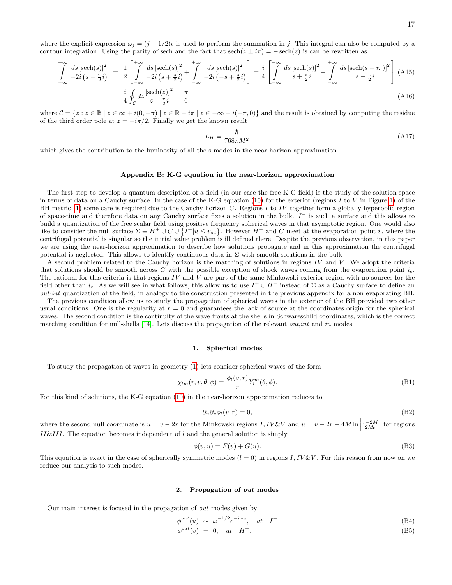where the explicit expression  $\omega_j = (j + 1/2)\epsilon$  is used to perform the summation in j. This integral can also be computed by a contour integration. Using the parity of sech and the fact that  $sech(z \pm i\pi) = -sech(z)$  is can be rewritten as

$$
\int_{-\infty}^{+\infty} \frac{ds \left[ \mathrm{sech}(s) \right]^2}{-2i \left( s + \frac{\pi}{2} i \right)} = \frac{1}{2} \left[ \int_{-\infty}^{+\infty} \frac{ds \left[ \mathrm{sech}(s) \right]^2}{-2i \left( s + \frac{\pi}{2} i \right)} + \int_{-\infty}^{+\infty} \frac{ds \left[ \mathrm{sech}(s) \right]^2}{-2i \left( -s + \frac{\pi}{2} i \right)} \right] = \frac{i}{4} \left[ \int_{-\infty}^{+\infty} \frac{ds \left[ \mathrm{sech}(s) \right]^2}{s + \frac{\pi}{2} i} - \int_{-\infty}^{+\infty} \frac{ds \left[ \mathrm{sech}(s - i\pi) \right]^2}{s - \frac{\pi}{2} i} \right] (A15)
$$
\n
$$
= \frac{i}{4} \oint_C dz \frac{\left[ \mathrm{sech}(z) \right]^2}{z + \frac{\pi}{2} i} = \frac{\pi}{6}
$$

where  $C = \{z : z \in \mathbb{R} \mid z \in \infty + i(0, -\pi) \mid z \in \mathbb{R} - i\pi \mid z \in -\infty + i(-\pi, 0)\}\$  and the result is obtained by computing the residue of the third order pole at  $z = -i\pi/2$ . Finally we get the known result

$$
L_H = \frac{\hbar}{768\pi M^2} \tag{A17}
$$

which gives the contribution to the luminosity of all the s-modes in the near-horizon approximation.

### <span id="page-16-0"></span>Appendix B: K-G equation in the near-horizon approximation

The first step to develop a quantum description of a field (in our case the free K-G field) is the study of the solution space in terms of data on a Cauchy surface. In the case of the K-G equation  $(10)$  for the exterior (regions I to V in Figure [1\)](#page-1-1) of the BH metric [\(1\)](#page-1-0) some care is required due to the Cauchy horizon C. Regions I to IV together form a globally hyperbolic region of space-time and therefore data on any Cauchy surface fixes a solution in the bulk.  $I^-$  is such a surface and this allows to build a quantization of the free scalar field using positive frequency spherical waves in that asymptotic region. One would also like to consider the null surface  $\Sigma \equiv H^+ \cup C \cup \{I^+ | u \le v_{s2}\}\.$  However  $H^+$  and C meet at the evaporation point  $i_e$  where the centrifugal potential is singular so the initial value problem is ill defined there. Despite the previous observation, in this paper we are using the near-horizon approximation to describe how solutions propagate and in this approximation the centrifugal potential is neglected. This allows to identify continuous data in  $\Sigma$  with smooth solutions in the bulk.

A second problem related to the Cauchy horizon is the matching of solutions in regions  $IV$  and  $V$ . We adopt the criteria that solutions should be smooth across C with the possible exception of shock waves coming from the evaporation point  $i_e$ . The rational for this criteria is that regions  $IV$  and  $V$  are part of the same Minkowski exterior region with no sources for the field other than  $i_e$ . As we will see in what follows, this allow us to use  $I^+ \cup H^+$  instead of  $\Sigma$  as a Cauchy surface to define an out-int quantization of the field, in analogy to the construction presented in the previous appendix for a non evaporating BH.

The previous condition allow us to study the propagation of spherical waves in the exterior of the BH provided two other usual conditions. One is the regularity at  $r = 0$  and guarantees the lack of source at the coordinates origin for the spherical waves. The second condition is the continuity of the wave fronts at the shells in Schwarzschild coordinates, which is the correct matching condition for null-shells [\[14\]](#page-19-3). Lets discuss the propagation of the relevant *out, int* and in modes.

#### 1. Spherical modes

To study the propagation of waves in geometry [\(1\)](#page-1-0) lets consider spherical waves of the form

$$
\chi_{lm}(r,v,\theta,\phi) = \frac{\phi_l(v,r)}{r} Y_l^m(\theta,\phi). \tag{B1}
$$

For this kind of solutions, the K-G equation [\(10\)](#page-2-2) in the near-horizon approximation reduces to

$$
\partial_u \partial_v \phi_l(v, r) = 0,\tag{B2}
$$

where the second null coordinate is  $u = v - 2r$  for the Minkowski regions  $I, IV \& V$  and  $u = v - 2r - 4M \ln \left| \frac{1}{2} \ln \left( \frac{1}{2} \ln \left| \frac{1}{2} \ln \left| \frac{1}{2} \ln \left| \frac{1}{2} \ln \left| \frac{1}{2} \ln \left| \frac{1}{2} \ln \left| \frac{1}{2} \ln \left| \frac{1}{2} \ln \left| \frac{1}{2} \ln \left$  $\frac{r-2M}{2M_0}$  for regions II&III. The equation becomes independent of  $l$  and the general solution is simply

<span id="page-16-1"></span>
$$
\phi(v, u) = F(v) + G(u). \tag{B3}
$$

This equation is exact in the case of spherically symmetric modes  $(l = 0)$  in regions I, IV &V. For this reason from now on we reduce our analysis to such modes.

#### 2. Propagation of out modes

Our main interest is focused in the propagation of out modes given by

$$
\phi^{out}(u) \sim \omega^{-1/2} e^{-i\omega u}, \quad at \quad I^+ \tag{B4}
$$

$$
\phi^{out}(v) = 0, at H^+. \tag{B5}
$$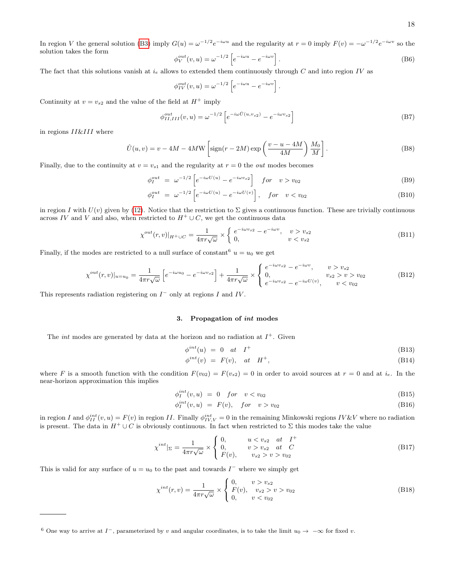18

In region V the general solution [\(B3\)](#page-16-1) imply  $G(u) = \omega^{-1/2} e^{-i\omega u}$  and the regularity at  $r = 0$  imply  $F(v) = -\omega^{-1/2} e^{-i\omega v}$  so the solution takes the form

$$
\phi_V^{out}(v, u) = \omega^{-1/2} \left[ e^{-i\omega u} - e^{-i\omega v} \right].
$$
\n(B6)

The fact that this solutions vanish at  $i_e$  allows to extended them continuously through C and into region IV as

$$
\phi_{IV}^{out}(v, u) = \omega^{-1/2} \left[ e^{-i\omega u} - e^{-i\omega v} \right]
$$

Continuity at  $v = v_{s2}$  and the value of the field at  $H^+$  imply

$$
\phi_{II,III}^{out}(v,u) = \omega^{-1/2} \left[ e^{-i\omega \hat{U}(u,v_{s2})} - e^{-i\omega v_{s2}} \right]
$$
\n(B7)

.

in regions II&III where

<span id="page-17-0"></span>
$$
\hat{U}(u,v) = v - 4M - 4MW \left[ sign(r - 2M) \exp\left(\frac{v - u - 4M}{4M}\right) \frac{M_0}{M} \right].
$$
\n(B8)

Finally, due to the continuity at  $v = v_{s1}$  and the regularity at  $r = 0$  the *out* modes becomes

$$
\phi_I^{out} = \omega^{-1/2} \left[ e^{-i\omega U(u)} - e^{-i\omega v_{s2}} \right] \quad for \quad v > v_{02}
$$
 (B9)

$$
\phi_I^{out} = \omega^{-1/2} \left[ e^{-i\omega U(u)} - e^{-i\omega U(v)} \right], \quad for \quad v < v_{02} \tag{B10}
$$

in region I with  $U(v)$  given by [\(12\)](#page-3-2). Notice that the restriction to  $\Sigma$  gives a continuous function. These are trivially continuous across IV and V and also, when restricted to  $H^+ \cup C$ , we get the continuous data

<span id="page-17-1"></span>
$$
\chi^{out}(r,v)|_{H^+\cup C} = \frac{1}{4\pi r\sqrt{\omega}} \times \begin{cases} e^{-i\omega v_{s2}} - e^{-i\omega v}, & v > v_{s2} \\ 0, & v < v_{s2} \end{cases}
$$
(B11)

Finally, if the modes are restricted to a null surface of constant  $u = u_0$  we get

<span id="page-17-3"></span>
$$
\chi^{out}(r,v)|_{u=u_0} = \frac{1}{4\pi r \sqrt{\omega}} \left[ e^{-i\omega u_0} - e^{-i\omega v_{s2}} \right] + \frac{1}{4\pi r \sqrt{\omega}} \times \begin{cases} e^{-i\omega v_{s2}} - e^{-i\omega v}, & v > v_{s2} \\ 0, & v_{s2} > v > v_{02} \\ e^{-i\omega v_{s2}} - e^{-i\omega U(v)}, & v < v_{02} \end{cases}
$$
(B12)

This represents radiation registering on  $I^-$  only at regions I and IV.

#### 3. Propagation of int modes

The *int* modes are generated by data at the horizon and no radiation at  $I^+$ . Given

$$
\phi^{int}(u) = 0 \quad at \quad I^+ \tag{B13}
$$

$$
\phi^{int}(v) = F(v), at H^+, \tag{B14}
$$

where F is a smooth function with the condition  $F(v_{02}) = F(v_{s2}) = 0$  in order to avoid sources at  $r = 0$  and at  $i_e$ . In the near-horizon approximation this implies

$$
\phi_I^{int}(v, u) = 0 \quad \text{for} \quad v < v_{02} \tag{B15}
$$

$$
\phi_I^{int}(v, u) = F(v), \quad \text{for} \quad v > v_{02} \tag{B16}
$$

in region I and  $\phi_{II}^{int}(v, u) = F(v)$  in region II. Finally  $\phi_{IV,V}^{int} = 0$  in the remaining Minkowski regions IV &V where no radiation is present. The data in  $H^+ \cup C$  is obviously continuous. In fact when restricted to  $\Sigma$  this modes take the value

<span id="page-17-2"></span>
$$
\chi^{int}|_{\Sigma} = \frac{1}{4\pi r\sqrt{\omega}} \times \begin{cases} 0, & u < v_{s2} \text{ at } I^+ \\ 0, & v > v_{s2} \text{ at } C \\ F(v), & v_{s2} > v > v_{02} \end{cases}
$$
(B17)

This is valid for any surface of  $u = u_0$  to the past and towards  $I^-$  where we simply get

<span id="page-17-4"></span>
$$
\chi^{int}(r,v) = \frac{1}{4\pi r \sqrt{\omega}} \times \begin{cases} 0, & v > v_{s2} \\ F(v), & v_{s2} > v > v_{02} \\ 0, & v < v_{02} \end{cases}
$$
(B18)

<sup>&</sup>lt;sup>6</sup> One way to arrive at  $I^-$ , parameterized by v and angular coordinates, is to take the limit  $u_0 \to -\infty$  for fixed v.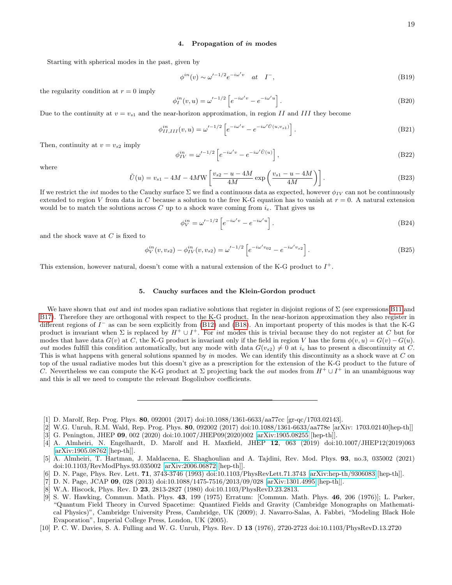# 4. Propagation of in modes

Starting with spherical modes in the past, given by

$$
\phi^{in}(v) \sim \omega'^{-1/2} e^{-i\omega' v} \quad at \quad I^-, \tag{B19}
$$

the regularity condition at  $r = 0$  imply

$$
\phi_I^{in}(v, u) = \omega'^{-1/2} \left[ e^{-i\omega' v} - e^{-i\omega' u} \right].
$$
\n(B20)

Due to the continuity at  $v = v_{s1}$  and the near-horizon approximation, in region II and III they become

$$
\phi_{II,III}^{in}(v,u) = \omega'^{-1/2} \left[ e^{-i\omega' v} - e^{-i\omega' \hat{U}(u,v_{s1})} \right].
$$
\n(B21)

Then, continuity at  $v = v_{s2}$  imply

$$
\phi_{IV}^{in} = \omega'^{-1/2} \left[ e^{-i\omega' v} - e^{-i\omega' \tilde{U}(u)} \right],\tag{B22}
$$

where

<span id="page-18-9"></span>
$$
\tilde{U}(u) = v_{s1} - 4M - 4MW \left[ \frac{v_{s2} - u - 4M}{4M} \exp\left(\frac{v_{s1} - u - 4M}{4M}\right) \right].
$$
\n(B23)

If we restrict the *int* modes to the Cauchy surface  $\Sigma$  we find a continuous data as expected, however  $\phi_{IV}$  can not be continuously extended to region V from data in C because a solution to the free K-G equation has to vanish at  $r = 0$ . A natural extension would be to match the solutions across C up to a shock wave coming from  $i_e$ . That gives us

$$
\phi_V^{in} = \omega'^{-1/2} \left[ e^{-i\omega' v} - e^{-i\omega' u} \right].
$$
\n(B24)

and the shock wave at  $C$  is fixed to

$$
\phi_V^{in}(v, v_{s2}) - \phi_{IV}^{in}(v, v_{s2}) = \omega'^{-1/2} \left[ e^{-i\omega' v_{02}} - e^{-i\omega' v_{s2}} \right].
$$
\n(B25)

This extension, however natural, doesn't come with a natural extension of the K-G product to  $I^+$ .

## 5. Cauchy surfaces and the Klein-Gordon product

We have shown that *out* and *int* modes span radiative solutions that register in disjoint regions of  $\Sigma$  (see expressions [B11](#page-17-1) and [B17\)](#page-17-2). Therefore they are orthogonal with respect to the K-G product. In the near-horizon approximation they also register in different regions of  $I^-$  as can be seen explicitly from [\(B12\)](#page-17-3) and [\(B18\)](#page-17-4). An important property of this modes is that the K-G product is invariant when  $\Sigma$  is replaced by  $H^+ \cup I^+$ . For *int* modes this is trivial because they do not register at C but for modes that have data  $G(v)$  at C, the K-G product is invariant only if the field in region V has the form  $\phi(v, u) = G(v) - G(u)$ . out modes fulfill this condition automatically, but any mode with data  $G(v_{s2}) \neq 0$  at  $i_e$  has to present a discontinuity at C. This is what happens with general solutions spanned by in modes. We can identify this discontinuity as a shock wave at  $C$  on top of the usual radiative modes but this doesn't give as a prescription for the extension of the K-G product to the future of C. Nevertheless we can compute the K-G product at  $\Sigma$  projecting back the *out* modes from  $H^+ \cup I^+$  in an unambiguous way and this is all we need to compute the relevant Bogoliubov coefficients.

- <span id="page-18-0"></span>[1] D. Marolf, Rep. Prog. Phys. 80, 092001 (2017) doi:10.1088/1361-6633/aa77cc [gr-qc/1703.02143].
- <span id="page-18-1"></span>[2] W.G. Unruh, R.M. Wald, Rep. Prog. Phys. 80, 092002 (2017) doi:10.1088/1361-6633/aa778e [arXiv: 1703.02140[hep-th]]
- <span id="page-18-2"></span>[3] G. Penington, JHEP 09, 002 (2020) doi:10.1007/JHEP09(2020)002 [\[arXiv:1905.08255](http://arxiv.org/abs/1905.08255) [hep-th]].

- <span id="page-18-4"></span>[6] D. N. Page, Phys. Rev. Lett. 71, 3743-3746 (1993) doi:10.1103/PhysRevLett.71.3743 [\[arXiv:hep-th/9306083](http://arxiv.org/abs/hep-th/9306083) [hep-th]].
- <span id="page-18-5"></span>[7] D. N. Page, JCAP 09, 028 (2013) doi:10.1088/1475-7516/2013/09/028 [\[arXiv:1301.4995](http://arxiv.org/abs/1301.4995) [hep-th]].
- <span id="page-18-6"></span>[8] W.A. Hiscock, Phys. Rev. D 23, 2813-2827 (1980) doi:10.1103/PhysRevD.23.2813.
- <span id="page-18-8"></span>[9] S. W. Hawking, Commun. Math. Phys. 43, 199 (1975) Erratum: [Commun. Math. Phys. 46, 206 (1976)]; L. Parker, "Quantum Field Theory in Curved Spacetime: Quantized Fields and Gravity (Cambridge Monographs on Mathematical Physics)", Cambridge University Press, Cambridge, UK (2009); J. Navarro-Salas, A. Fabbri, "Modeling Black Hole Evaporation", Imperial College Press, London, UK (2005).
- <span id="page-18-7"></span>[10] P. C. W. Davies, S. A. Fulling and W. G. Unruh, Phys. Rev. D 13 (1976), 2720-2723 doi:10.1103/PhysRevD.13.2720

<sup>[4]</sup> A. Almheiri, N. Engelhardt, D. Marolf and H. Maxfield, JHEP 12, 063 (2019) doi:10.1007/JHEP12(2019)063 [\[arXiv:1905.08762](http://arxiv.org/abs/1905.08762) [hep-th]].

<span id="page-18-3"></span><sup>[5]</sup> A. Almheiri, T. Hartman, J. Maldacena, E. Shaghoulian and A. Tajdini, Rev. Mod. Phys. 93, no.3, 035002 (2021) doi:10.1103/RevModPhys.93.035002 [\[arXiv:2006.06872](http://arxiv.org/abs/2006.06872) [hep-th]].